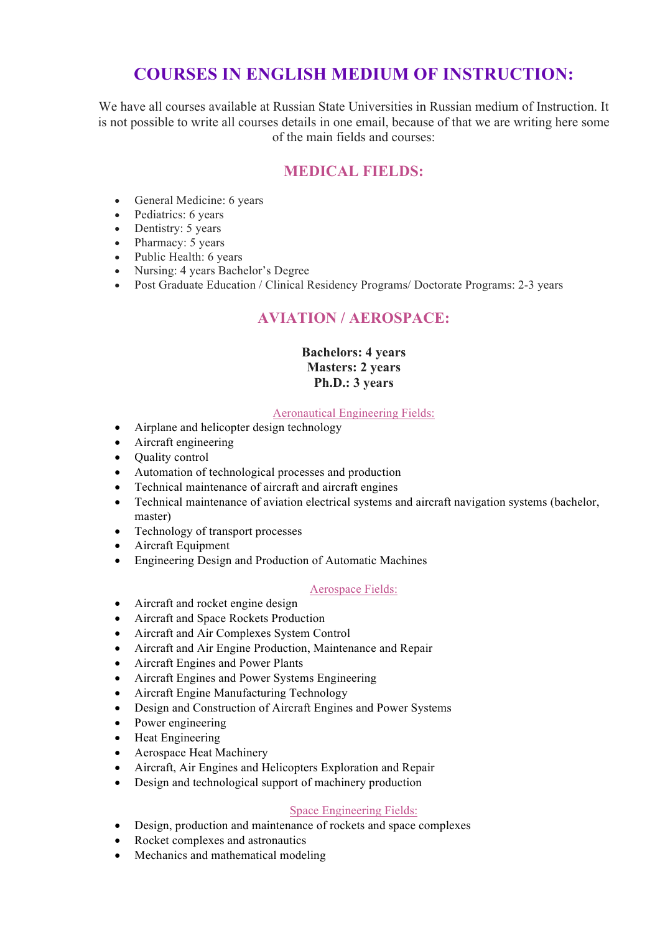# **COURSES IN ENGLISH MEDIUM OF INSTRUCTION:**

We have all courses available at Russian State Universities in Russian medium of Instruction. It is not possible to write all courses details in one email, because of that we are writing here some of the main fields and courses:

# **MEDICAL FIELDS:**

- General Medicine: 6 years
- Pediatrics: 6 years
- Dentistry: 5 years
- Pharmacy:  $5$  years
- Public Health: 6 years
- Nursing: 4 years Bachelor's Degree
- Post Graduate Education / Clinical Residency Programs/ Doctorate Programs: 2-3 years

# **AVIATION / AEROSPACE:**

## **Bachelors: 4 years Masters: 2 years Ph.D.: 3 years**

## Aeronautical Engineering Fields:

- Airplane and helicopter design technology
- Aircraft engineering
- Ouality control
- Automation of technological processes and production
- Technical maintenance of aircraft and aircraft engines
- Technical maintenance of aviation electrical systems and aircraft navigation systems (bachelor, master)
- Technology of transport processes
- Aircraft Equipment
- Engineering Design and Production of Automatic Machines

## Aerospace Fields:

- Aircraft and rocket engine design
- Aircraft and Space Rockets Production
- Aircraft and Air Complexes System Control
- Aircraft and Air Engine Production, Maintenance and Repair
- Aircraft Engines and Power Plants
- Aircraft Engines and Power Systems Engineering
- Aircraft Engine Manufacturing Technology
- Design and Construction of Aircraft Engines and Power Systems
- Power engineering
- Heat Engineering
- Aerospace Heat Machinery
- Aircraft, Air Engines and Helicopters Exploration and Repair
- Design and technological support of machinery production

## Space Engineering Fields:

- Design, production and maintenance of rockets and space complexes
- Rocket complexes and astronautics
- Mechanics and mathematical modeling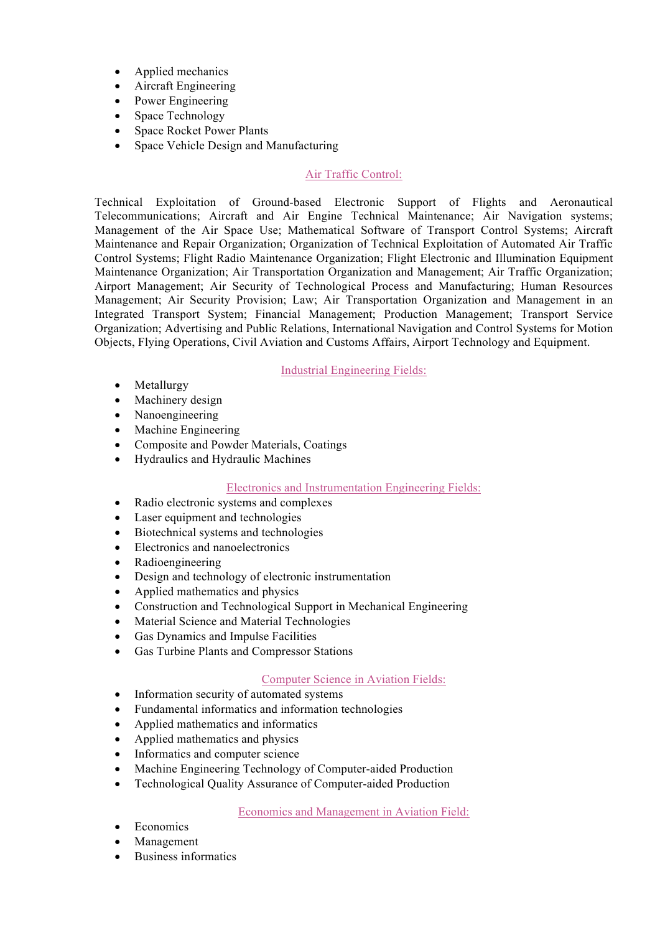- Applied mechanics
- Aircraft Engineering
- Power Engineering
- Space Technology
- Space Rocket Power Plants
- Space Vehicle Design and Manufacturing

## Air Traffic Control:

Technical Exploitation of Ground-based Electronic Support of Flights and Aeronautical Telecommunications; Aircraft and Air Engine Technical Maintenance; Air Navigation systems; Management of the Air Space Use; Mathematical Software of Transport Control Systems; Aircraft Maintenance and Repair Organization; Organization of Technical Exploitation of Automated Air Traffic Control Systems; Flight Radio Maintenance Organization; Flight Electronic and Illumination Equipment Maintenance Organization; Air Transportation Organization and Management; Air Traffic Organization; Airport Management; Air Security of Technological Process and Manufacturing; Human Resources Management; Air Security Provision; Law; Air Transportation Organization and Management in an Integrated Transport System; Financial Management; Production Management; Transport Service Organization; Advertising and Public Relations, International Navigation and Control Systems for Motion Objects, Flying Operations, Civil Aviation and Customs Affairs, Airport Technology and Equipment.

Industrial Engineering Fields:

- Metallurgy
- Machinery design
- Nanoengineering
- Machine Engineering
- Composite and Powder Materials, Coatings
- Hydraulics and Hydraulic Machines

## Electronics and Instrumentation Engineering Fields:

- Radio electronic systems and complexes
- Laser equipment and technologies
- Biotechnical systems and technologies
- Electronics and nanoelectronics
- Radioengineering
- Design and technology of electronic instrumentation
- Applied mathematics and physics
- Construction and Technological Support in Mechanical Engineering
- Material Science and Material Technologies
- Gas Dynamics and Impulse Facilities
- Gas Turbine Plants and Compressor Stations

#### Computer Science in Aviation Fields:

- Information security of automated systems
- Fundamental informatics and information technologies
- Applied mathematics and informatics
- Applied mathematics and physics
- Informatics and computer science
- Machine Engineering Technology of Computer-aided Production
- Technological Quality Assurance of Computer-aided Production

Economics and Management in Aviation Field:

- **Economics**
- **Management**
- Business informatics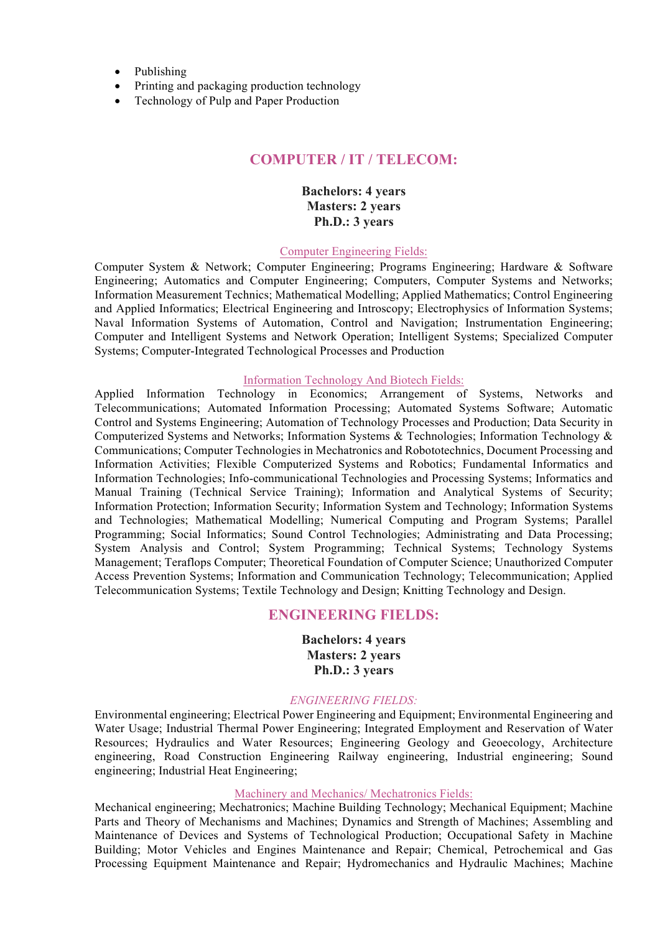- Publishing
- Printing and packaging production technology
- Technology of Pulp and Paper Production

## **COMPUTER / IT / TELECOM:**

## **Bachelors: 4 years Masters: 2 years Ph.D.: 3 years**

#### Computer Engineering Fields:

Computer System & Network; Computer Engineering; Programs Engineering; Hardware & Software Engineering; Automatics and Computer Engineering; Computers, Computer Systems and Networks; Information Measurement Technics; Mathematical Modelling; Applied Mathematics; Control Engineering and Applied Informatics; Electrical Engineering and Introscopy; Electrophysics of Information Systems; Naval Information Systems of Automation, Control and Navigation; Instrumentation Engineering; Computer and Intelligent Systems and Network Operation; Intelligent Systems; Specialized Computer Systems; Computer-Integrated Technological Processes and Production

#### Information Technology And Biotech Fields:

Applied Information Technology in Economics; Arrangement of Systems, Networks and Telecommunications; Automated Information Processing; Automated Systems Software; Automatic Control and Systems Engineering; Automation of Technology Processes and Production; Data Security in Computerized Systems and Networks; Information Systems & Technologies; Information Technology & Communications; Computer Technologies in Mechatronics and Robototechnics, Document Processing and Information Activities; Flexible Computerized Systems and Robotics; Fundamental Informatics and Information Technologies; Info-communicational Technologies and Processing Systems; Informatics and Manual Training (Technical Service Training); Information and Analytical Systems of Security; Information Protection; Information Security; Information System and Technology; Information Systems and Technologies; Mathematical Modelling; Numerical Computing and Program Systems; Parallel Programming; Social Informatics; Sound Control Technologies; Administrating and Data Processing; System Analysis and Control; System Programming; Technical Systems; Technology Systems Management; Teraflops Computer; Theoretical Foundation of Computer Science; Unauthorized Computer Access Prevention Systems; Information and Communication Technology; Telecommunication; Applied Telecommunication Systems; Textile Technology and Design; Knitting Technology and Design.

## **ENGINEERING FIELDS:**

**Bachelors: 4 years Masters: 2 years Ph.D.: 3 years**

## *ENGINEERING FIELDS:*

Environmental engineering; Electrical Power Engineering and Equipment; Environmental Engineering and Water Usage; Industrial Thermal Power Engineering; Integrated Employment and Reservation of Water Resources; Hydraulics and Water Resources; Engineering Geology and Geoecology, Architecture engineering, Road Construction Engineering Railway engineering, Industrial engineering; Sound engineering; Industrial Heat Engineering;

#### Machinery and Mechanics/ Mechatronics Fields:

Mechanical engineering; Mechatronics; Machine Building Technology; Mechanical Equipment; Machine Parts and Theory of Mechanisms and Machines; Dynamics and Strength of Machines; Assembling and Maintenance of Devices and Systems of Technological Production; Occupational Safety in Machine Building; Motor Vehicles and Engines Maintenance and Repair; Chemical, Petrochemical and Gas Processing Equipment Maintenance and Repair; Hydromechanics and Hydraulic Machines; Machine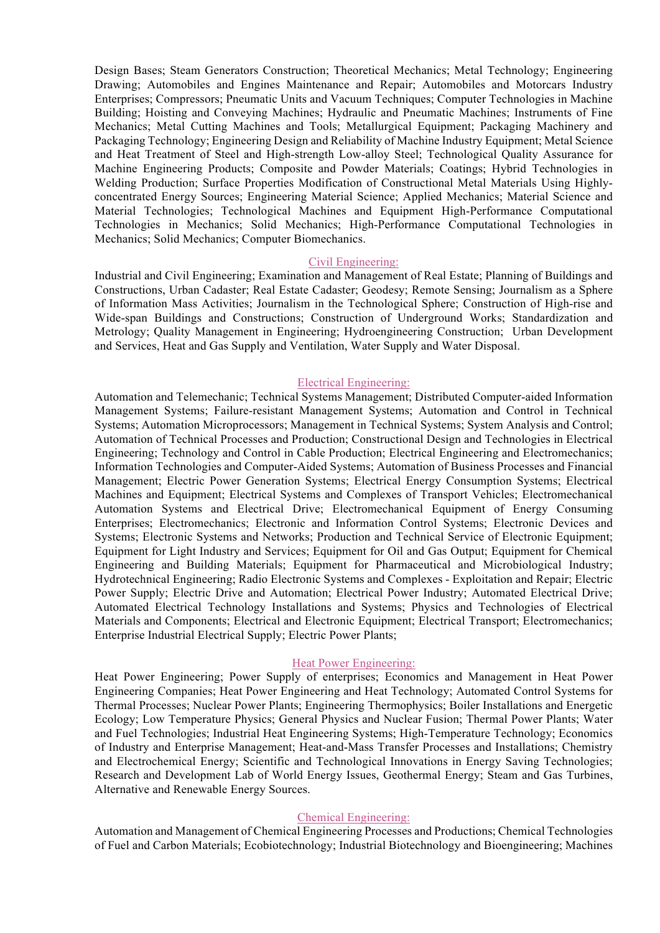Design Bases; Steam Generators Construction; Theoretical Mechanics; Metal Technology; Engineering Drawing; Automobiles and Engines Maintenance and Repair; Automobiles and Motorcars Industry Enterprises; Compressors; Pneumatic Units and Vacuum Techniques; Computer Technologies in Machine Building; Hoisting and Conveying Machines; Hydraulic and Pneumatic Machines; Instruments of Fine Mechanics; Metal Cutting Machines and Tools; Metallurgical Equipment; Packaging Machinery and Packaging Technology; Engineering Design and Reliability of Machine Industry Equipment; Metal Science and Heat Treatment of Steel and High-strength Low-alloy Steel; Technological Quality Assurance for Machine Engineering Products; Composite and Powder Materials; Coatings; Hybrid Technologies in Welding Production; Surface Properties Modification of Constructional Metal Materials Using Highlyconcentrated Energy Sources; Engineering Material Science; Applied Mechanics; Material Science and Material Technologies; Technological Machines and Equipment High-Performance Computational Technologies in Mechanics; Solid Mechanics; High-Performance Computational Technologies in Mechanics; Solid Mechanics; Computer Biomechanics.

#### Civil Engineering:

Industrial and Civil Engineering; Examination and Management of Real Estate; Planning of Buildings and Constructions, Urban Cadaster; Real Estate Cadaster; Geodesy; Remote Sensing; Journalism as a Sphere of Information Mass Activities; Journalism in the Technological Sphere; Construction of High-rise and Wide-span Buildings and Constructions; Construction of Underground Works; Standardization and Metrology; Quality Management in Engineering; Hydroengineering Construction; Urban Development and Services, Heat and Gas Supply and Ventilation, Water Supply and Water Disposal.

#### Electrical Engineering:

Automation and Telemechanic; Technical Systems Management; Distributed Computer-aided Information Management Systems; Failure-resistant Management Systems; Automation and Control in Technical Systems; Automation Microprocessors; Management in Technical Systems; System Analysis and Control; Automation of Technical Processes and Production; Constructional Design and Technologies in Electrical Engineering; Technology and Control in Cable Production; Electrical Engineering and Electromechanics; Information Technologies and Computer-Aided Systems; Automation of Business Processes and Financial Management; Electric Power Generation Systems; Electrical Energy Consumption Systems; Electrical Machines and Equipment; Electrical Systems and Complexes of Transport Vehicles; Electromechanical Automation Systems and Electrical Drive; Electromechanical Equipment of Energy Consuming Enterprises; Electromechanics; Electronic and Information Control Systems; Electronic Devices and Systems; Electronic Systems and Networks; Production and Technical Service of Electronic Equipment; Equipment for Light Industry and Services; Equipment for Oil and Gas Output; Equipment for Chemical Engineering and Building Materials; Equipment for Pharmaceutical and Microbiological Industry; Hydrotechnical Engineering; Radio Electronic Systems and Complexes - Exploitation and Repair; Electric Power Supply; Electric Drive and Automation; Electrical Power Industry; Automated Electrical Drive; Automated Electrical Technology Installations and Systems; Physics and Technologies of Electrical Materials and Components; Electrical and Electronic Equipment; Electrical Transport; Electromechanics; Enterprise Industrial Electrical Supply; Electric Power Plants;

## Heat Power Engineering:

Heat Power Engineering; Power Supply of enterprises; Economics and Management in Heat Power Engineering Companies; Heat Power Engineering and Heat Technology; Automated Control Systems for Thermal Processes; Nuclear Power Plants; Engineering Thermophysics; Boiler Installations and Energetic Ecology; Low Temperature Physics; General Physics and Nuclear Fusion; Thermal Power Plants; Water and Fuel Technologies; Industrial Heat Engineering Systems; High-Temperature Technology; Economics of Industry and Enterprise Management; Heat-and-Mass Transfer Processes and Installations; Chemistry and Electrochemical Energy; Scientific and Technological Innovations in Energy Saving Technologies; Research and Development Lab of World Energy Issues, Geothermal Energy; Steam and Gas Turbines, Alternative and Renewable Energy Sources.

#### Chemical Engineering:

Automation and Management of Chemical Engineering Processes and Productions; Chemical Technologies of Fuel and Carbon Materials; Ecobiotechnology; Industrial Biotechnology and Bioengineering; Machines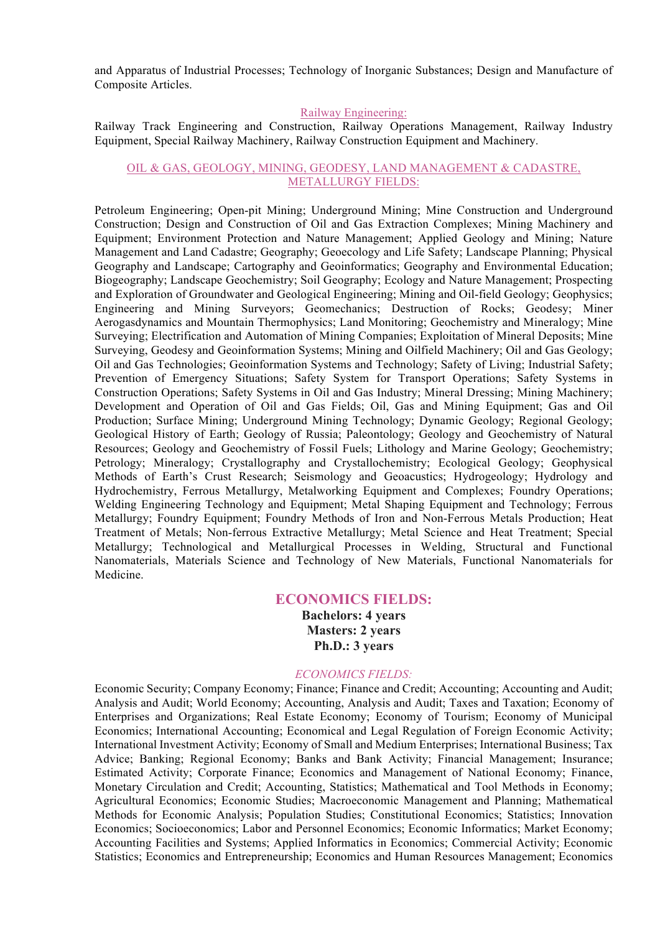and Apparatus of Industrial Processes; Technology of Inorganic Substances; Design and Manufacture of Composite Articles.

#### Railway Engineering:

Railway Track Engineering and Construction, Railway Operations Management, Railway Industry Equipment, Special Railway Machinery, Railway Construction Equipment and Machinery.

## OIL & GAS, GEOLOGY, MINING, GEODESY, LAND MANAGEMENT & CADASTRE, METALLURGY FIELDS:

Petroleum Engineering; Open-pit Mining; Underground Mining; Mine Construction and Underground Construction; Design and Construction of Oil and Gas Extraction Complexes; Mining Machinery and Equipment; Environment Protection and Nature Management; Applied Geology and Mining; Nature Management and Land Cadastre; Geography; Geoecology and Life Safety; Landscape Planning; Physical Geography and Landscape; Cartography and Geoinformatics; Geography and Environmental Education; Biogeography; Landscape Geochemistry; Soil Geography; Ecology and Nature Management; Prospecting and Exploration of Groundwater and Geological Engineering; Mining and Oil-field Geology; Geophysics; Engineering and Mining Surveyors; Geomechanics; Destruction of Rocks; Geodesy; Miner Aerogasdynamics and Mountain Thermophysics; Land Monitoring; Geochemistry and Mineralogy; Mine Surveying; Electrification and Automation of Mining Companies; Exploitation of Mineral Deposits; Mine Surveying, Geodesy and Geoinformation Systems; Mining and Oilfield Machinery; Oil and Gas Geology; Oil and Gas Technologies; Geoinformation Systems and Technology; Safety of Living; Industrial Safety; Prevention of Emergency Situations; Safety System for Transport Operations; Safety Systems in Construction Operations; Safety Systems in Oil and Gas Industry; Mineral Dressing; Mining Machinery; Development and Operation of Oil and Gas Fields; Oil, Gas and Mining Equipment; Gas and Oil Production; Surface Mining; Underground Mining Technology; Dynamic Geology; Regional Geology; Geological History of Earth; Geology of Russia; Paleontology; Geology and Geochemistry of Natural Resources; Geology and Geochemistry of Fossil Fuels; Lithology and Marine Geology; Geochemistry; Petrology; Mineralogy; Crystallography and Crystallochemistry; Ecological Geology; Geophysical Methods of Earth's Crust Research; Seismology and Geoacustics; Hydrogeology; Hydrology and Hydrochemistry, Ferrous Metallurgy, Metalworking Equipment and Complexes; Foundry Operations; Welding Engineering Technology and Equipment; Metal Shaping Equipment and Technology; Ferrous Metallurgy; Foundry Equipment; Foundry Methods of Iron and Non-Ferrous Metals Production; Heat Treatment of Metals; Non-ferrous Extractive Metallurgy; Metal Science and Heat Treatment; Special Metallurgy; Technological and Metallurgical Processes in Welding, Structural and Functional Nanomaterials, Materials Science and Technology of New Materials, Functional Nanomaterials for Medicine.

## **ECONOMICS FIELDS:**

**Bachelors: 4 years Masters: 2 years Ph.D.: 3 years**

#### *ECONOMICS FIELDS:*

Economic Security; Company Economy; Finance; Finance and Credit; Accounting; Accounting and Audit; Analysis and Audit; World Economy; Accounting, Analysis and Audit; Taxes and Taxation; Economy of Enterprises and Organizations; Real Estate Economy; Economy of Tourism; Economy of Municipal Economics; International Accounting; Economical and Legal Regulation of Foreign Economic Activity; International Investment Activity; Economy of Small and Medium Enterprises; International Business; Tax Advice; Banking; Regional Economy; Banks and Bank Activity; Financial Management; Insurance; Estimated Activity; Corporate Finance; Economics and Management of National Economy; Finance, Monetary Circulation and Credit; Accounting, Statistics; Mathematical and Tool Methods in Economy; Agricultural Economics; Economic Studies; Macroeconomic Management and Planning; Mathematical Methods for Economic Analysis; Population Studies; Constitutional Economics; Statistics; Innovation Economics; Socioeconomics; Labor and Personnel Economics; Economic Informatics; Market Economy; Accounting Facilities and Systems; Applied Informatics in Economics; Commercial Activity; Economic Statistics; Economics and Entrepreneurship; Economics and Human Resources Management; Economics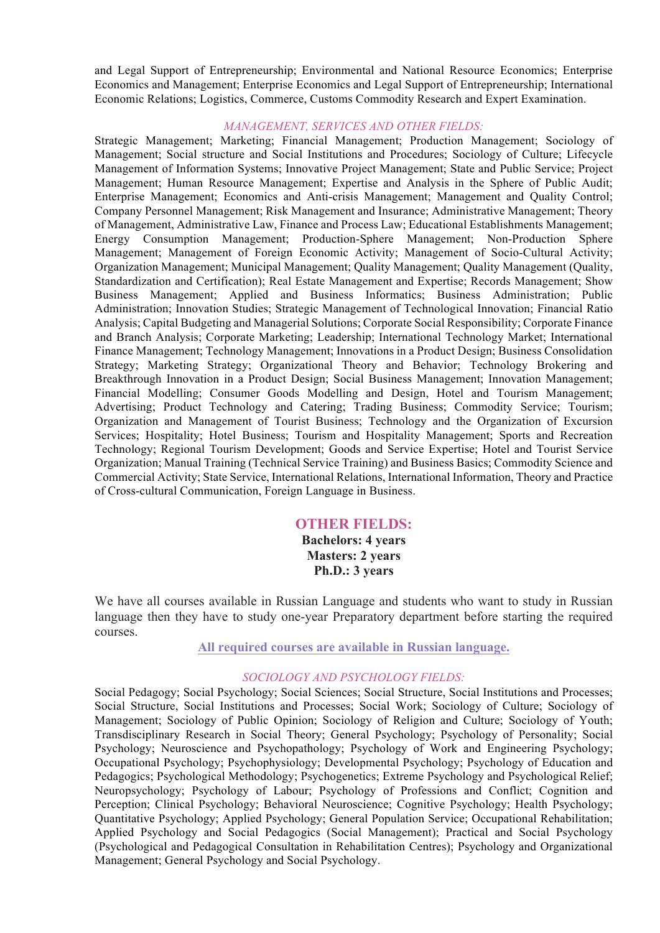and Legal Support of Entrepreneurship; Environmental and National Resource Economics; Enterprise Economics and Management; Enterprise Economics and Legal Support of Entrepreneurship; International Economic Relations; Logistics, Commerce, Customs Commodity Research and Expert Examination.

## *MANAGEMENT, SERVICES AND OTHER FIELDS:*

Strategic Management; Marketing; Financial Management; Production Management; Sociology of Management; Social structure and Social Institutions and Procedures; Sociology of Culture; Lifecycle Management of Information Systems; Innovative Project Management; State and Public Service; Project Management; Human Resource Management; Expertise and Analysis in the Sphere of Public Audit; Enterprise Management; Economics and Anti-crisis Management; Management and Quality Control; Company Personnel Management; Risk Management and Insurance; Administrative Management; Theory of Management, Administrative Law, Finance and Process Law; Educational Establishments Management; Energy Consumption Management; Production-Sphere Management; Non-Production Sphere Management; Management of Foreign Economic Activity; Management of Socio-Cultural Activity; Organization Management; Municipal Management; Quality Management; Quality Management (Quality, Standardization and Certification); Real Estate Management and Expertise; Records Management; Show Business Management; Applied and Business Informatics; Business Administration; Public Administration; Innovation Studies; Strategic Management of Technological Innovation; Financial Ratio Analysis; Capital Budgeting and Managerial Solutions; Corporate Social Responsibility; Corporate Finance and Branch Analysis; Corporate Marketing; Leadership; International Technology Market; International Finance Management; Technology Management; Innovations in a Product Design; Business Consolidation Strategy; Marketing Strategy; Organizational Theory and Behavior; Technology Brokering and Breakthrough Innovation in a Product Design; Social Business Management; Innovation Management; Financial Modelling; Consumer Goods Modelling and Design, Hotel and Tourism Management; Advertising; Product Technology and Catering; Trading Business; Commodity Service; Tourism; Organization and Management of Tourist Business; Technology and the Organization of Excursion Services; Hospitality; Hotel Business; Tourism and Hospitality Management; Sports and Recreation Technology; Regional Tourism Development; Goods and Service Expertise; Hotel and Tourist Service Organization; Manual Training (Technical Service Training) and Business Basics; Commodity Science and Commercial Activity; State Service, International Relations, International Information, Theory and Practice of Cross-cultural Communication, Foreign Language in Business.

## **OTHER FIELDS:**

**Bachelors: 4 years Masters: 2 years Ph.D.: 3 years**

We have all courses available in Russian Language and students who want to study in Russian language then they have to study one-year Preparatory department before starting the required courses.

**All required courses are available in Russian language.**

## *SOCIOLOGY AND PSYCHOLOGY FIELDS:*

Social Pedagogy; Social Psychology; Social Sciences; Social Structure, Social Institutions and Processes; Social Structure, Social Institutions and Processes; Social Work; Sociology of Culture; Sociology of Management; Sociology of Public Opinion; Sociology of Religion and Culture; Sociology of Youth; Transdisciplinary Research in Social Theory; General Psychology; Psychology of Personality; Social Psychology; Neuroscience and Psychopathology; Psychology of Work and Engineering Psychology; Occupational Psychology; Psychophysiology; Developmental Psychology; Psychology of Education and Pedagogics; Psychological Methodology; Psychogenetics; Extreme Psychology and Psychological Relief; Neuropsychology; Psychology of Labour; Psychology of Professions and Conflict; Cognition and Perception; Clinical Psychology; Behavioral Neuroscience; Cognitive Psychology; Health Psychology; Quantitative Psychology; Applied Psychology; General Population Service; Occupational Rehabilitation; Applied Psychology and Social Pedagogics (Social Management); Practical and Social Psychology (Psychological and Pedagogical Consultation in Rehabilitation Centres); Psychology and Organizational Management; General Psychology and Social Psychology.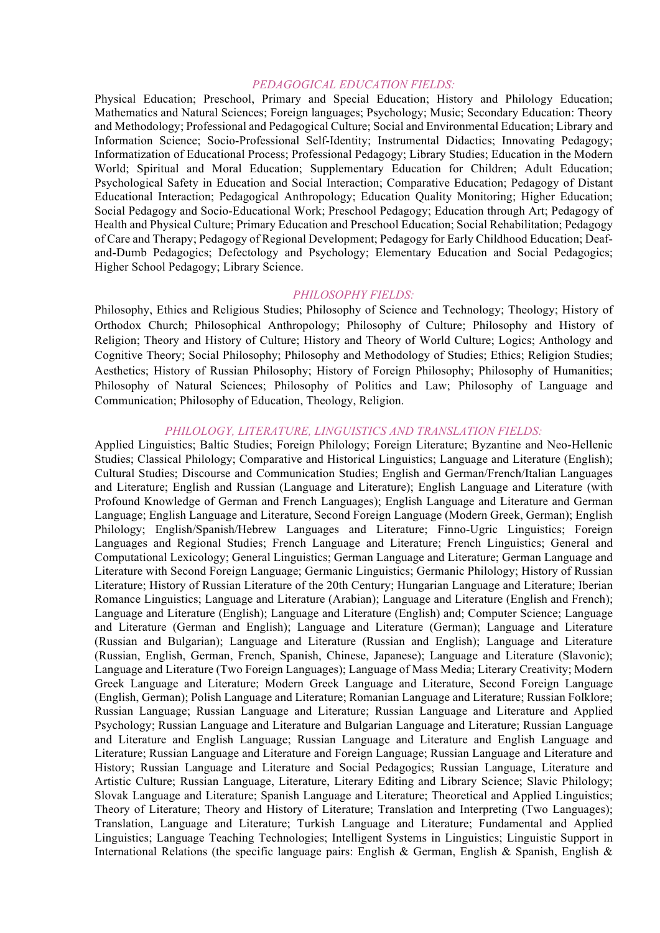#### *PEDAGOGICAL EDUCATION FIELDS:*

Physical Education; Preschool, Primary and Special Education; History and Philology Education; Mathematics and Natural Sciences; Foreign languages; Psychology; Music; Secondary Education: Theory and Methodology; Professional and Pedagogical Culture; Social and Environmental Education; Library and Information Science; Socio-Professional Self-Identity; Instrumental Didactics; Innovating Pedagogy; Informatization of Educational Process; Professional Pedagogy; Library Studies; Education in the Modern World; Spiritual and Moral Education; Supplementary Education for Children; Adult Education; Psychological Safety in Education and Social Interaction; Comparative Education; Pedagogy of Distant Educational Interaction; Pedagogical Anthropology; Education Quality Monitoring; Higher Education; Social Pedagogy and Socio-Educational Work; Preschool Pedagogy; Education through Art; Pedagogy of Health and Physical Culture; Primary Education and Preschool Education; Social Rehabilitation; Pedagogy of Care and Therapy; Pedagogy of Regional Development; Pedagogy for Early Childhood Education; Deafand-Dumb Pedagogics; Defectology and Psychology; Elementary Education and Social Pedagogics; Higher School Pedagogy; Library Science.

#### *PHILOSOPHY FIELDS:*

Philosophy, Ethics and Religious Studies; Philosophy of Science and Technology; Theology; History of Orthodox Church; Philosophical Anthropology; Philosophy of Culture; Philosophy and History of Religion; Theory and History of Culture; History and Theory of World Culture; Logics; Anthology and Cognitive Theory; Social Philosophy; Philosophy and Methodology of Studies; Ethics; Religion Studies; Aesthetics; History of Russian Philosophy; History of Foreign Philosophy; Philosophy of Humanities; Philosophy of Natural Sciences; Philosophy of Politics and Law; Philosophy of Language and Communication; Philosophy of Education, Theology, Religion.

#### *PHILOLOGY, LITERATURE, LINGUISTICS AND TRANSLATION FIELDS:*

Applied Linguistics; Baltic Studies; Foreign Philology; Foreign Literature; Byzantine and Neo-Hellenic Studies; Classical Philology; Comparative and Historical Linguistics; Language and Literature (English); Cultural Studies; Discourse and Communication Studies; English and German/French/Italian Languages and Literature; English and Russian (Language and Literature); English Language and Literature (with Profound Knowledge of German and French Languages); English Language and Literature and German Language; English Language and Literature, Second Foreign Language (Modern Greek, German); English Philology; English/Spanish/Hebrew Languages and Literature; Finno-Ugric Linguistics; Foreign Languages and Regional Studies; French Language and Literature; French Linguistics; General and Computational Lexicology; General Linguistics; German Language and Literature; German Language and Literature with Second Foreign Language; Germanic Linguistics; Germanic Philology; History of Russian Literature; History of Russian Literature of the 20th Century; Hungarian Language and Literature; Iberian Romance Linguistics; Language and Literature (Arabian); Language and Literature (English and French); Language and Literature (English); Language and Literature (English) and; Computer Science; Language and Literature (German and English); Language and Literature (German); Language and Literature (Russian and Bulgarian); Language and Literature (Russian and English); Language and Literature (Russian, English, German, French, Spanish, Chinese, Japanese); Language and Literature (Slavonic); Language and Literature (Two Foreign Languages); Language of Mass Media; Literary Creativity; Modern Greek Language and Literature; Modern Greek Language and Literature, Second Foreign Language (English, German); Polish Language and Literature; Romanian Language and Literature; Russian Folklore; Russian Language; Russian Language and Literature; Russian Language and Literature and Applied Psychology; Russian Language and Literature and Bulgarian Language and Literature; Russian Language and Literature and English Language; Russian Language and Literature and English Language and Literature; Russian Language and Literature and Foreign Language; Russian Language and Literature and History; Russian Language and Literature and Social Pedagogics; Russian Language, Literature and Artistic Culture; Russian Language, Literature, Literary Editing and Library Science; Slavic Philology; Slovak Language and Literature; Spanish Language and Literature; Theoretical and Applied Linguistics; Theory of Literature; Theory and History of Literature; Translation and Interpreting (Two Languages); Translation, Language and Literature; Turkish Language and Literature; Fundamental and Applied Linguistics; Language Teaching Technologies; Intelligent Systems in Linguistics; Linguistic Support in International Relations (the specific language pairs: English & German, English & Spanish, English &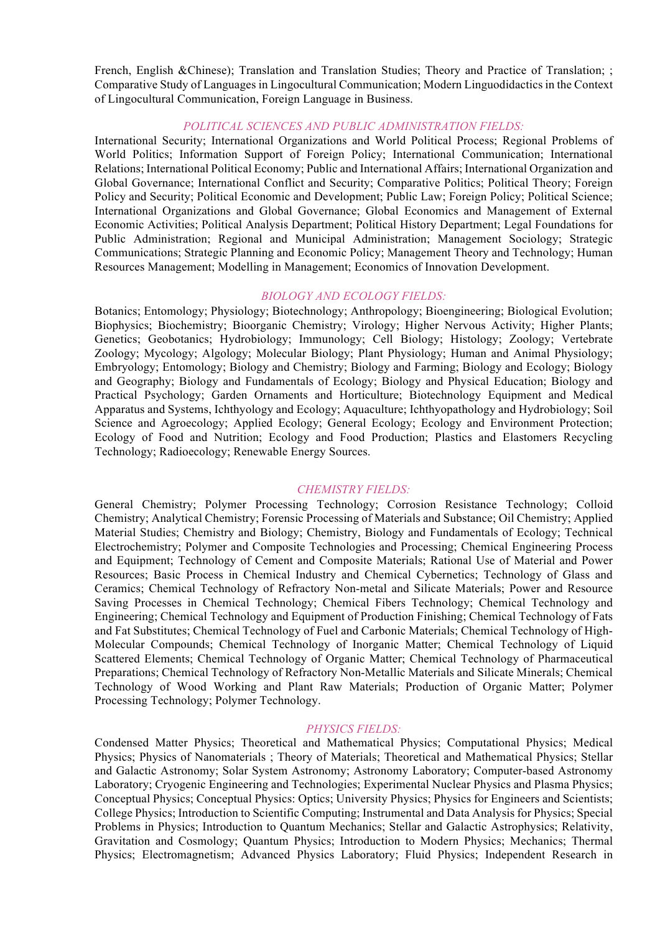French, English &Chinese); Translation and Translation Studies; Theory and Practice of Translation; ; Comparative Study of Languages in Lingocultural Communication; Modern Linguodidactics in the Context of Lingocultural Communication, Foreign Language in Business.

## *POLITICAL SCIENCES AND PUBLIC ADMINISTRATION FIELDS:*

International Security; International Organizations and World Political Process; Regional Problems of World Politics; Information Support of Foreign Policy; International Communication; International Relations; International Political Economy; Public and International Affairs; International Organization and Global Governance; International Conflict and Security; Comparative Politics; Political Theory; Foreign Policy and Security; Political Economic and Development; Public Law; Foreign Policy; Political Science; International Organizations and Global Governance; Global Economics and Management of External Economic Activities; Political Analysis Department; Political History Department; Legal Foundations for Public Administration; Regional and Municipal Administration; Management Sociology; Strategic Communications; Strategic Planning and Economic Policy; Management Theory and Technology; Human Resources Management; Modelling in Management; Economics of Innovation Development.

#### *BIOLOGY AND ECOLOGY FIELDS:*

Botanics; Entomology; Physiology; Biotechnology; Anthropology; Bioengineering; Biological Evolution; Biophysics; Biochemistry; Bioorganic Chemistry; Virology; Higher Nervous Activity; Higher Plants; Genetics; Geobotanics; Hydrobiology; Immunology; Cell Biology; Histology; Zoology; Vertebrate Zoology; Mycology; Algology; Molecular Biology; Plant Physiology; Human and Animal Physiology; Embryology; Entomology; Biology and Chemistry; Biology and Farming; Biology and Ecology; Biology and Geography; Biology and Fundamentals of Ecology; Biology and Physical Education; Biology and Practical Psychology; Garden Ornaments and Horticulture; Biotechnology Equipment and Medical Apparatus and Systems, Ichthyology and Ecology; Aquaculture; Ichthyopathology and Hydrobiology; Soil Science and Agroecology; Applied Ecology; General Ecology; Ecology and Environment Protection; Ecology of Food and Nutrition; Ecology and Food Production; Plastics and Elastomers Recycling Technology; Radioecology; Renewable Energy Sources.

#### *CHEMISTRY FIELDS:*

General Chemistry; Polymer Processing Technology; Corrosion Resistance Technology; Colloid Chemistry; Analytical Chemistry; Forensic Processing of Materials and Substance; Oil Chemistry; Applied Material Studies; Chemistry and Biology; Chemistry, Biology and Fundamentals of Ecology; Technical Electrochemistry; Polymer and Composite Technologies and Processing; Chemical Engineering Process and Equipment; Technology of Cement and Composite Materials; Rational Use of Material and Power Resources; Basic Process in Chemical Industry and Chemical Cybernetics; Теchnology of Glass and Ceramics; Chemical Technology of Refractory Non-metal and Silicate Materials; Power and Resource Saving Processes in Chemical Technology; Chemical Fibers Technology; Chemical Technology and Engineering; Chemical Technology and Equipment of Production Finishing; Chemical Technology of Fats and Fat Substitutes; Chemical Technology of Fuel and Carbonic Materials; Chemical Technology of High-Molecular Compounds; Chemical Technology of Inorganic Matter; Chemical Technology of Liquid Scattered Elements; Chemical Technology of Organic Matter; Chemical Technology of Pharmaceutical Preparations; Chemical Technology of Refractory Non-Metallic Materials and Silicate Minerals; Chemical Technology of Wood Working and Plant Raw Materials; Production of Organic Matter; Polymer Processing Technology; Polymer Technology.

#### *PHYSICS FIELDS:*

Condensed Matter Physics; Theoretical and Mathematical Physics; Computational Physics; Medical Physics; Physics of Nanomaterials ; Theory of Materials; Theoretical and Mathematical Physics; Stellar and Galactic Astronomy; Solar System Astronomy; Astronomy Laboratory; Computer-based Astronomy Laboratory; Cryogenic Engineering and Technologies; Experimental Nuclear Physics and Plasma Physics; Conceptual Physics; Conceptual Physics: Optics; University Physics; Physics for Engineers and Scientists; College Physics; Introduction to Scientific Computing; Instrumental and Data Analysis for Physics; Special Problems in Physics; Introduction to Quantum Mechanics; Stellar and Galactic Astrophysics; Relativity, Gravitation and Cosmology; Quantum Physics; Introduction to Modern Physics; Mechanics; Thermal Physics; Electromagnetism; Advanced Physics Laboratory; Fluid Physics; Independent Research in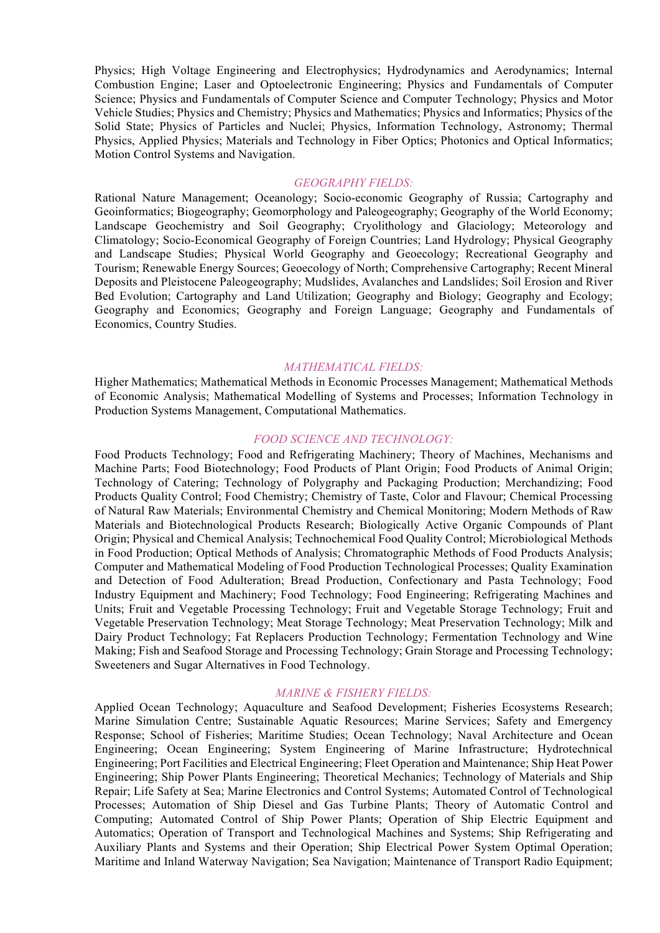Physics; High Voltage Engineering and Electrophysics; Hydrodynamics and Aerodynamics; Internal Combustion Engine; Laser and Optoelectronic Engineering; Physics and Fundamentals of Computer Science; Physics and Fundamentals of Computer Science and Computer Technology; Physics and Motor Vehicle Studies; Physics and Chemistry; Physics and Mathematics; Physics and Informatics; Physics of the Solid State; Physics of Particles and Nuclei; Physics, Information Technology, Astronomy; Thermal Physics, Applied Physics; Materials and Technology in Fiber Optics; Photonics and Optical Informatics; Motion Control Systems and Navigation.

#### *GEOGRAPHY FIELDS:*

Rational Nature Management; Oceanology; Socio-economic Geography of Russia; Cartography and Geoinformatics; Biogeography; Geomorphology and Paleogeography; Geography of the World Economy; Landscape Geochemistry and Soil Geography; Cryolithology and Glaciology; Meteorology and Climatology; Socio-Economical Geography of Foreign Countries; Land Hydrology; Physical Geography and Landscape Studies; Physical World Geography and Geoecology; Recreational Geography and Tourism; Renewable Energy Sources; Geoecology of North; Comprehensive Cartography; Recent Mineral Deposits and Pleistocene Paleogeography; Mudslides, Avalanches and Landslides; Soil Erosion and River Bed Evolution; Cartography and Land Utilization; Geography and Biology; Geography and Ecology; Geography and Economics; Geography and Foreign Language; Geography and Fundamentals of Economics, Country Studies.

#### *MATHEMATICAL FIELDS:*

Higher Mathematics; Mathematical Methods in Economic Processes Management; Mathematical Methods of Economic Analysis; Mathematical Modelling of Systems and Processes; Information Technology in Production Systems Management, Computational Mathematics.

#### *FOOD SCIENCE AND TECHNOLOGY:*

Food Products Technology; Food and Refrigerating Machinery; Theory of Machines, Mechanisms and Machine Parts; Food Biotechnology; Food Products of Plant Origin; Food Products of Animal Origin; Technology of Catering; Technology of Polygraphy and Packaging Production; Merchandizing; Food Products Quality Control; Food Chemistry; Chemistry of Taste, Color and Flavour; Chemical Processing of Natural Raw Materials; Environmental Chemistry and Chemical Monitoring; Modern Methods of Raw Materials and Biotechnological Products Research; Biologically Active Organic Compounds of Plant Origin; Physical and Chemical Analysis; Technochemical Food Quality Control; Microbiological Methods in Food Production; Optical Methods of Analysis; Chromatographic Methods of Food Products Analysis; Computer and Mathematical Modeling of Food Production Technological Processes; Quality Examination and Detection of Food Adulteration; Bread Production, Confectionary and Pasta Technology; Food Industry Equipment and Machinery; Food Technology; Food Engineering; Refrigerating Machines and Units; Fruit and Vegetable Processing Technology; Fruit and Vegetable Storage Technology; Fruit and Vegetable Preservation Technology; Meat Storage Technology; Meat Preservation Technology; Milk and Dairy Product Technology; Fat Replacers Production Technology; Fermentation Technology and Wine Making; Fish and Seafood Storage and Processing Technology; Grain Storage and Processing Technology; Sweeteners and Sugar Alternatives in Food Technology.

#### *MARINE & FISHERY FIELDS:*

Applied Ocean Technology; Aquaculture and Seafood Development; Fisheries Ecosystems Research; Marine Simulation Centre; Sustainable Aquatic Resources; Marine Services; Safety and Emergency Response; School of Fisheries; Maritime Studies; Ocean Technology; Naval Architecture and Ocean Engineering; Ocean Engineering; System Engineering of Marine Infrastructure; Hydrotechnical Engineering; Port Facilities and Electrical Engineering; Fleet Operation and Maintenance; Ship Heat Power Engineering; Ship Power Plants Engineering; Theoretical Mechanics; Technology of Materials and Ship Repair; Life Safety at Sea; Marine Electronics and Control Systems; Automated Control of Technological Processes; Automation of Ship Diesel and Gas Turbine Plants; Theory of Automatic Control and Computing; Automated Control of Ship Power Plants; Operation of Ship Electric Equipment and Automatics; Operation of Transport and Technological Machines and Systems; Ship Refrigerating and Auxiliary Plants and Systems and their Operation; Ship Electrical Power System Optimal Operation; Maritime and Inland Waterway Navigation; Sea Navigation; Maintenance of Transport Radio Equipment;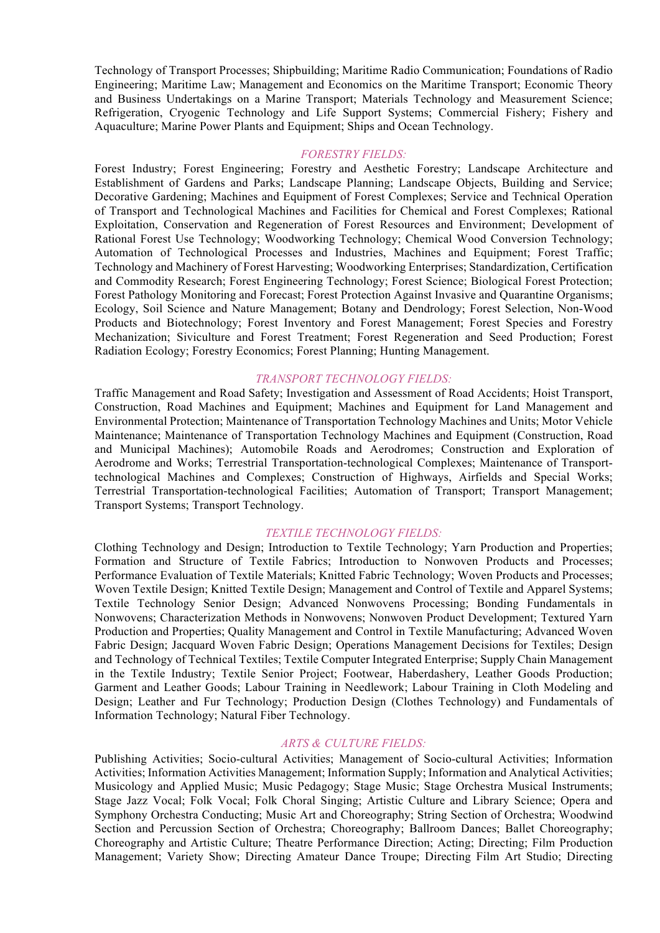Technology of Transport Processes; Shipbuilding; Maritime Radio Communication; Foundations of Radio Engineering; Maritime Law; Management and Economics on the Maritime Transport; Economic Theory and Business Undertakings on a Marine Transport; Materials Technology and Measurement Science; Refrigeration, Cryogenic Technology and Life Support Systems; Commercial Fishery; Fishery and Aquaculture; Marine Power Plants and Equipment; Ships and Ocean Technology.

#### *FORESTRY FIELDS:*

Forest Industry; Forest Engineering; Forestry and Aesthetic Forestry; Landscape Architecture and Establishment of Gardens and Parks; Landscape Planning; Landscape Objects, Building and Service; Decorative Gardening; Machines and Equipment of Forest Complexes; Service and Technical Operation of Transport and Technological Machines and Facilities for Chemical and Forest Complexes; Rational Exploitation, Conservation and Regeneration of Forest Resources and Environment; Development of Rational Forest Use Technology; Woodworking Technology; Chemical Wood Conversion Technology; Automation of Technological Processes and Industries, Machines and Equipment; Forest Traffic; Technology and Machinery of Forest Harvesting; Woodworking Enterprises; Standardization, Certification and Commodity Research; Forest Engineering Technology; Forest Science; Biological Forest Protection; Forest Pathology Monitoring and Forecast; Forest Protection Against Invasive and Quarantine Organisms; Ecology, Soil Science and Nature Management; Botany and Dendrology; Forest Selection, Non-Wood Products and Biotechnology; Forest Inventory and Forest Management; Forest Species and Forestry Mechanization; Siviculture and Forest Treatment; Forest Regeneration and Seed Production; Forest Radiation Ecology; Forestry Economics; Forest Planning; Hunting Management.

#### *TRANSPORT TECHNOLOGY FIELDS:*

Traffic Management and Road Safety; Investigation and Assessment of Road Accidents; Hoist Transport, Construction, Road Machines and Equipment; Machines and Equipment for Land Management and Environmental Protection; Maintenance of Transportation Technology Machines and Units; Motor Vehicle Maintenance; Maintenance of Transportation Technology Machines and Equipment (Construction, Road and Municipal Machines); Automobile Roads and Aerodromes; Construction and Exploration of Aerodrome and Works; Terrestrial Transportation-technological Complexes; Maintenance of Transporttechnological Machines and Complexes; Construction of Highways, Airfields and Special Works; Terrestrial Transportation-technological Facilities; Automation of Transport; Transport Management; Transport Systems; Transport Technology.

#### *TEXTILE TECHNOLOGY FIELDS:*

Clothing Technology and Design; Introduction to Textile Technology; Yarn Production and Properties; Formation and Structure of Textile Fabrics; Introduction to Nonwoven Products and Processes; Performance Evaluation of Textile Materials; Knitted Fabric Technology; Woven Products and Processes; Woven Textile Design; Knitted Textile Design; Management and Control of Textile and Apparel Systems; Textile Technology Senior Design; Advanced Nonwovens Processing; Bonding Fundamentals in Nonwovens; Characterization Methods in Nonwovens; Nonwoven Product Development; Textured Yarn Production and Properties; Quality Management and Control in Textile Manufacturing; Advanced Woven Fabric Design; Jacquard Woven Fabric Design; Operations Management Decisions for Textiles; Design and Technology of Technical Textiles; Textile Computer Integrated Enterprise; Supply Chain Management in the Textile Industry; Textile Senior Project; Footwear, Haberdashery, Leather Goods Production; Garment and Leather Goods; Labour Training in Needlework; Labour Training in Cloth Modeling and Design; Leather and Fur Technology; Production Design (Clothes Technology) and Fundamentals of Information Technology; Natural Fiber Technology.

## *ARTS & CULTURE FIELDS:*

Publishing Activities; Socio-cultural Activities; Management of Socio-cultural Activities; Information Activities; Information Activities Management; Information Supply; Information and Analytical Activities; Musicology and Applied Music; Music Pedagogy; Stage Music; Stage Orchestra Musical Instruments; Stage Jazz Vocal; Folk Vocal; Folk Choral Singing; Artistic Culture and Library Science; Opera and Symphony Orchestra Conducting; Music Art and Choreography; String Section of Orchestra; Woodwind Section and Percussion Section of Orchestra; Choreography; Ballroom Dances; Ballet Choreography; Choreography and Artistic Culture; Theatre Performance Direction; Acting; Directing; Film Production Management; Variety Show; Directing Amateur Dance Troupe; Directing Film Art Studio; Directing